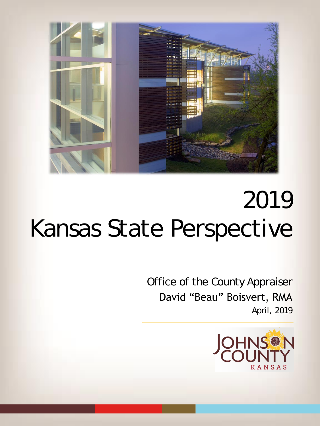

Office of the County Appraiser David "Beau" Boisvert, RMA April, 2019

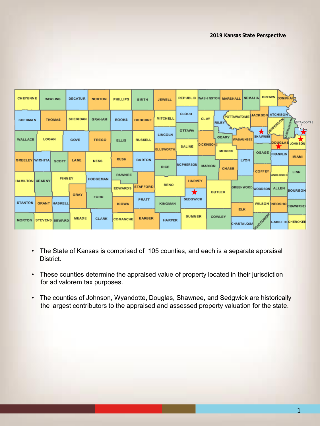| CHEYENNE               |                                 | <b>RAWLINS</b> | <b>DECATUR</b>  | <b>NORTON</b>   | <b>PHILLIPS</b>          | <b>SMITH</b>    | <b>JEWELL</b>                   | <b>REPUBLIC</b>                | <b>WASHINGTON MARSHALL</b>              | <b>NEMAHA</b>            | BROWN DONIPHANCE                                         |                                  |
|------------------------|---------------------------------|----------------|-----------------|-----------------|--------------------------|-----------------|---------------------------------|--------------------------------|-----------------------------------------|--------------------------|----------------------------------------------------------|----------------------------------|
|                        | <b>THOMAS</b><br><b>SHERMAN</b> |                | <b>SHERIDAN</b> | <b>GRAHAM</b>   | <b>ROOKS</b>             | <b>OSBORNE</b>  | <b>MITCHELL</b>                 | <b>CLOUD</b>                   | <b>CLAY</b><br><b>RILEY</b>             |                          | <b>POTTAWATOMIE JACKSON ATCHISON</b><br><b>VEFFERSON</b> | <b>HYDRY</b><br><b>WYANDOTTE</b> |
| <b>WALLACE</b>         | LOGAN                           |                | GOVE            | <b>TREGO</b>    | <b>ELLIS</b>             | <b>RUSSELL</b>  | <b>LINCOLN</b>                  | <b>OTTAWA</b><br><b>SALINE</b> | <b>GEARY</b><br>DICKINSONT              | <b>WAB AUNSEE</b>        | EAVEN<br>Х<br><b>SHAWNEE</b>                             | ₽<br>DOUGLAS JOHNSON             |
| <b>GREELEY WICHITA</b> |                                 | SCOTT          | LANE            | <b>NESS</b>     | <b>RUSH</b>              | <b>BARTON</b>   | <b>ELLSWORTH</b><br><b>RICE</b> | <b>MCPHERSON</b>               | <b>MORRIS</b><br><b>MARION</b><br>CHASE | <b>LYON</b>              | <b>OSAGE FRANKLIN</b>                                    | <b>MLAML</b>                     |
| <b>HAMILTON KEARNY</b> |                                 | <b>FINNEY</b>  |                 | <b>HODGEMAN</b> | PAWNEE<br><b>EDWARDS</b> | <b>STAFFORD</b> | <b>RENO</b>                     | <b>HARVEY</b>                  |                                         |                          | <b>COFFEY</b><br>ANDERSON<br>GREENWOOD WOODSON ALLEN     | LINN                             |
| <b>STANTON</b>         | <b>GRANT</b>                    | HASKELL        | <b>GRAY</b>     | FORD            | <b>KIOWA</b>             | <b>PRATT</b>    | <b>KINGMAN</b>                  | $\star$<br><b>SEDGWICK</b>     | <b>BUTLER</b>                           |                          | WILSON NEOSHO CRAWFORD                                   | <b>BOURBON</b>                   |
| <b>MORTON</b>          | <b>STEVENS SEWARD</b>           |                | <b>MEADE</b>    | <b>CLARK</b>    | <b>COMANCHE</b>          | <b>BARBER</b>   | <b>HARPER</b>                   | <b>SUMNER</b>                  | COWLEY                                  | <b>ELK</b><br>CHAUTAUQUA | MONTGOMERY                                               | <b>LABETTECHEROKEE</b>           |

- The State of Kansas is comprised of 105 counties, and each is a separate appraisal District.
- These counties determine the appraised value of property located in their jurisdiction for ad valorem tax purposes.
- The counties of Johnson, Wyandotte, Douglas, Shawnee, and Sedgwick are historically the largest contributors to the appraised and assessed property valuation for the state.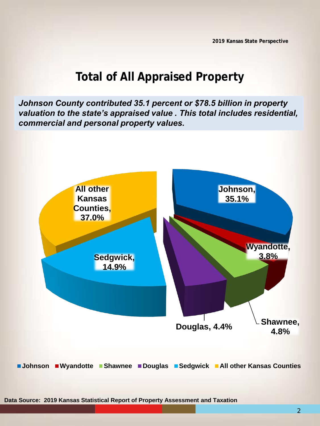# **Total of All Appraised Property**

*Johnson County contributed 35.1 percent or \$78.5 billion in property valuation to the state's appraised value . This total includes residential, commercial and personal property values.*



2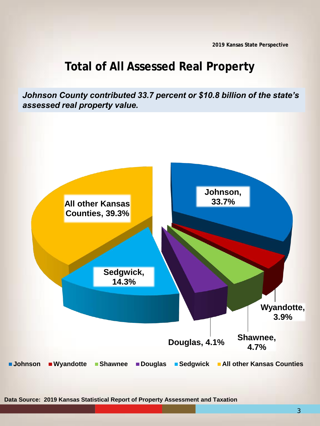## **Total of All Assessed Real Property**

*Johnson County contributed 33.7 percent or \$10.8 billion of the state's assessed real property value.* 

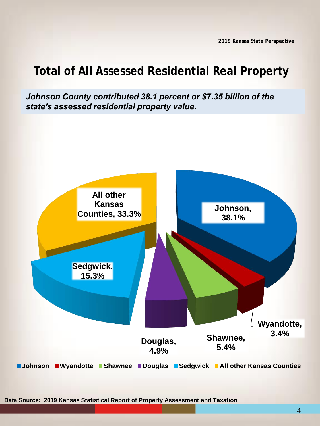## **Total of All Assessed Residential Real Property**

*Johnson County contributed 38.1 percent or \$7.35 billion of the state's assessed residential property value.* 

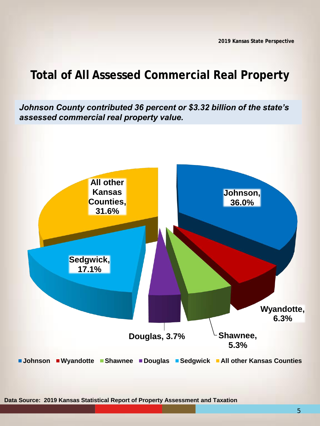# **Total of All Assessed Commercial Real Property**

*Johnson County contributed 36 percent or \$3.32 billion of the state's assessed commercial real property value.* 



**Data Source: 2019 Kansas Statistical Report of Property Assessment and Taxation**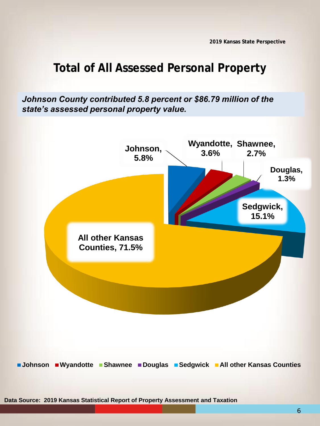## **Total of All Assessed Personal Property**

*Johnson County contributed 5.8 percent or \$86.79 million of the state's assessed personal property value.* 



**Data Source: 2019 Kansas Statistical Report of Property Assessment and Taxation** 

6